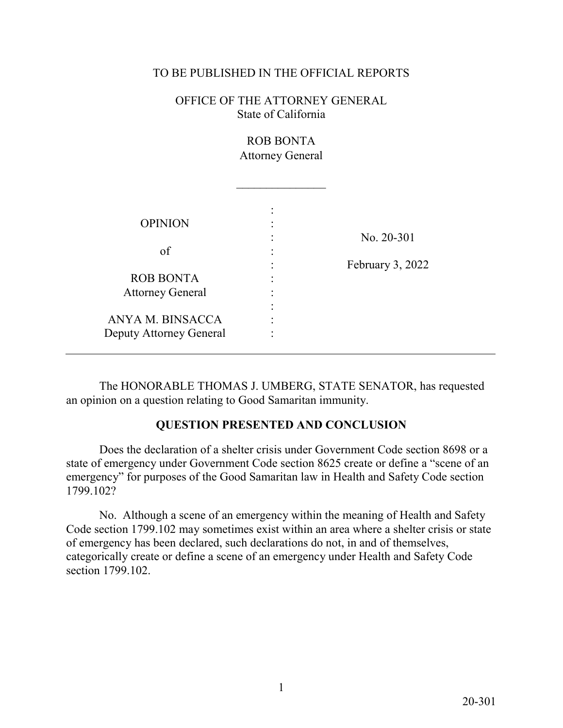### TO BE PUBLISHED IN THE OFFICIAL REPORTS

OFFICE OF THE ATTORNEY GENERAL State of California

# ROB BONTA Attorney General

 $\overline{\phantom{a}}$  , where  $\overline{\phantom{a}}$ 

| <b>OPINION</b>          |   |                  |
|-------------------------|---|------------------|
|                         | ٠ | No. 20-301       |
| of                      |   |                  |
|                         |   | February 3, 2022 |
| <b>ROB BONTA</b>        |   |                  |
| <b>Attorney General</b> |   |                  |
|                         |   |                  |
| ANYA M. BINSACCA        |   |                  |
| Deputy Attorney General |   |                  |

 The HONORABLE THOMAS J. UMBERG, STATE SENATOR, has requested an opinion on a question relating to Good Samaritan immunity.

## **QUESTION PRESENTED AND CONCLUSION**

 state of emergency under Government Code section 8625 create or define a "scene of an Does the declaration of a shelter crisis under Government Code section 8698 or a emergency" for purposes of the Good Samaritan law in Health and Safety Code section 1799.102?

 categorically create or define a scene of an emergency under Health and Safety Code section 1799.102. No. Although a scene of an emergency within the meaning of Health and Safety Code section 1799.102 may sometimes exist within an area where a shelter crisis or state of emergency has been declared, such declarations do not, in and of themselves, section 1799.102.<br>1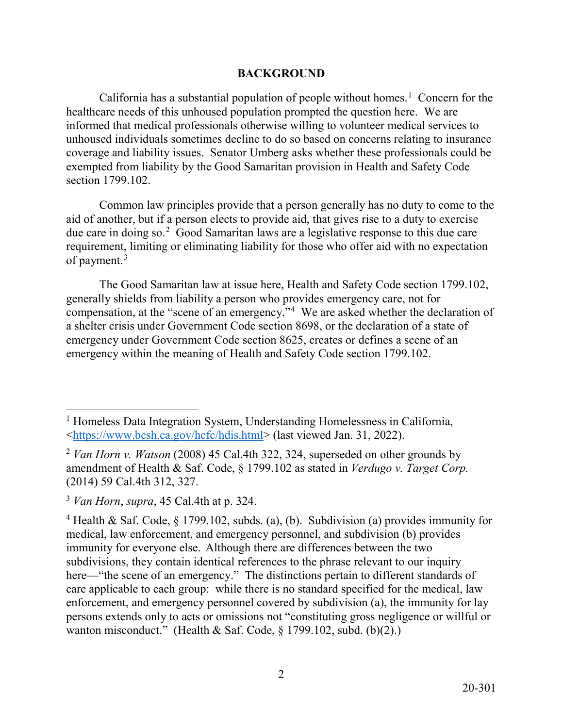### **BACKGROUND**

California has a substantial population of people without homes.<sup>[1](#page-1-0)</sup> Concern for the coverage and liability issues. Senator Umberg asks whether these professionals could be healthcare needs of this unhoused population prompted the question here. We are informed that medical professionals otherwise willing to volunteer medical services to unhoused individuals sometimes decline to do so based on concerns relating to insurance exempted from liability by the Good Samaritan provision in Health and Safety Code section 1799.102.

due care in doing so.<sup>2</sup> Good Samaritan laws are a legislative response to this due care of payment.<sup>3</sup> Common law principles provide that a person generally has no duty to come to the aid of another, but if a person elects to provide aid, that gives rise to a duty to exercise requirement, limiting or eliminating liability for those who offer aid with no expectation

compensation, at the "scene of an emergency."<sup>4</sup> We are asked whether the declaration of The Good Samaritan law at issue here, Health and Safety Code section 1799.102, generally shields from liability a person who provides emergency care, not for a shelter crisis under Government Code section 8698, or the declaration of a state of emergency under Government Code section 8625, creates or defines a scene of an emergency within the meaning of Health and Safety Code section 1799.102.

 $\overline{a}$ 

<span id="page-1-0"></span>[<sup>&</sup>lt;https://www.bcsh.ca.gov/hcfc/hdis.html>](https://www.bcsh.ca.gov/hcfc/hdis.html) (last viewed Jan. 31, 2022). <sup>1</sup> Homeless Data Integration System, Understanding Homelessness in California,

<span id="page-1-1"></span><sup>2</sup>*Van Horn v. Watson* (2008) 45 Cal.4th 322, 324, superseded on other grounds by amendment of Health & Saf. Code, § 1799.102 as stated in *Verdugo v. Target Corp.*  (2014) 59 Cal.4th 312, 327.

<span id="page-1-2"></span> <sup>3</sup>*Van Horn*, *supra*, 45 Cal.4th at p. 324.

<span id="page-1-3"></span><sup>&</sup>lt;sup>4</sup> Health & Saf. Code, § 1799.102, subds. (a), (b). Subdivision (a) provides immunity for immunity for everyone else. Although there are differences between the two subdivisions, they contain identical references to the phrase relevant to our inquiry care applicable to each group: while there is no standard specified for the medical, law wanton misconduct." (Health & Saf. Code, § 1799.102, subd. (b)(2).) medical, law enforcement, and emergency personnel, and subdivision (b) provides here—"the scene of an emergency." The distinctions pertain to different standards of enforcement, and emergency personnel covered by subdivision (a), the immunity for lay persons extends only to acts or omissions not "constituting gross negligence or willful or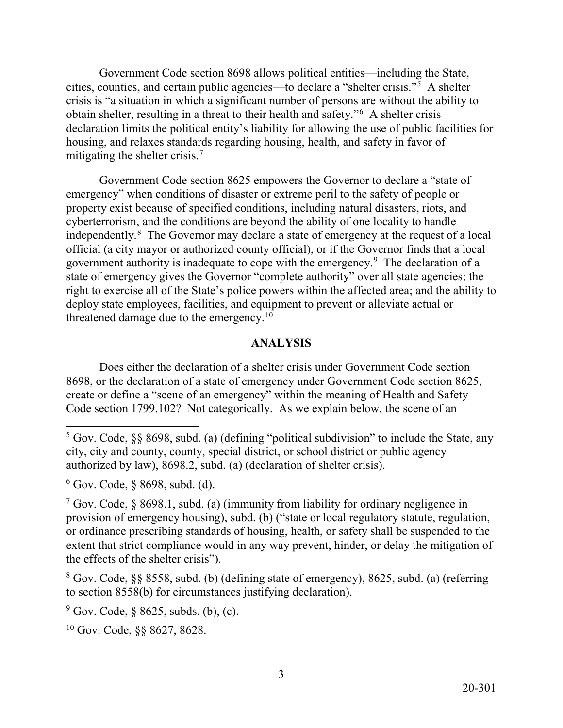cities, counties, and certain public agencies—to declare a "shelter crisis."[5](#page-2-0) A shelter obtain shelter, resulting in a threat to their health and safety."[6](#page-2-1) A shelter crisis Government Code section 8698 allows political entities—including the State, crisis is "a situation in which a significant number of persons are without the ability to declaration limits the political entity's liability for allowing the use of public facilities for housing, and relaxes standards regarding housing, health, and safety in favor of mitigating the shelter crisis.<sup>[7](#page-2-2)</sup>

independently. $8$  The Governor may declare a state of emergency at the request of a local government authority is inadequate to cope with the emergency.<sup>9</sup> The declaration of a threatened damage due to the [emergency.](https://emergency.10)<sup>10</sup> Government Code section 8625 empowers the Governor to declare a "state of emergency" when conditions of disaster or extreme peril to the safety of people or property exist because of specified conditions, including natural disasters, riots, and cyberterrorism, and the conditions are beyond the ability of one locality to handle official (a city mayor or authorized county official), or if the Governor finds that a local state of emergency gives the Governor "complete authority" over all state agencies; the right to exercise all of the State's police powers within the affected area; and the ability to deploy state employees, facilities, and equipment to prevent or alleviate actual or

### **ANALYSIS**

Does either the declaration of a shelter crisis under Government Code section 8698, or the declaration of a state of emergency under Government Code section 8625, create or define a "scene of an emergency" within the meaning of Health and Safety Code section 1799.102? Not categorically. As we explain below, the scene of an

-

<span id="page-2-3"></span>8 Gov. Code, §§ 8558, subd. (b) (defining state of emergency), 8625, subd. (a) (referring to section 8558(b) for circumstances justifying declaration).

<span id="page-2-4"></span> $9^9$  Gov. Code, § 8625, subds. (b), (c).

<span id="page-2-5"></span>10 Gov. Code, §§ 8627, 8628.

<span id="page-2-0"></span> $5$  Gov. Code, §§ 8698, subd. (a) (defining "political subdivision" to include the State, any city, city and county, county, special district, or school district or public agency authorized by law), 8698.2, subd. (a) (declaration of shelter crisis).

<span id="page-2-1"></span> $6$  Gov. Code,  $§$  8698, subd. (d).

<span id="page-2-2"></span><sup>&</sup>lt;sup>7</sup> Gov. Code, § 8698.1, subd. (a) (immunity from liability for ordinary negligence in provision of emergency housing), subd. (b) ("state or local regulatory statute, regulation, or ordinance prescribing standards of housing, health, or safety shall be suspended to the extent that strict compliance would in any way prevent, hinder, or delay the mitigation of the effects of the shelter crisis").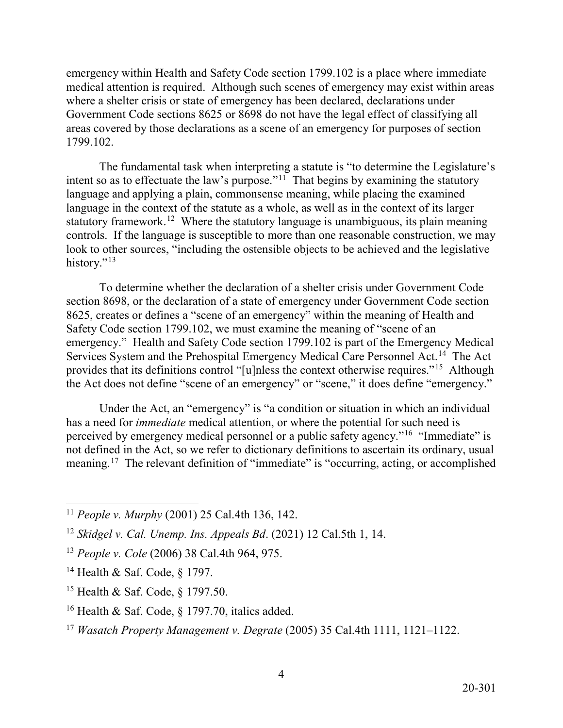medical attention is required. Although such scenes of emergency may exist within areas emergency within Health and Safety Code section 1799.102 is a place where immediate where a shelter crisis or state of emergency has been declared, declarations under Government Code sections 8625 or 8698 do not have the legal effect of classifying all areas covered by those declarations as a scene of an emergency for purposes of section 1799.102.

intent so as to effectuate the law's purpose."<sup>11</sup> That begins by examining the statutory language and applying a plain, commonsense meaning, while placing the examined statutory framework.<sup>1[2](#page-3-1)</sup> Where the statutory language is unambiguous, its plain meaning controls. If the language is susceptible to more than one reasonable construction, we may The fundamental task when interpreting a statute is "to determine the Legislature's language in the context of the statute as a whole, as well as in the context of its larger look to other sources, "including the ostensible objects to be achieved and the legislative history."<sup>[13](#page-3-2)</sup>

Services System and the Prehospital Emergency Medical Care Personnel Act.<sup>14</sup> The Act provides that its definitions control "[u]nless the context otherwise requires."<sup>15</sup> Although To determine whether the declaration of a shelter crisis under Government Code section 8698, or the declaration of a state of emergency under Government Code section 8625, creates or defines a "scene of an emergency" within the meaning of Health and Safety Code section 1799.102, we must examine the meaning of "scene of an emergency." Health and Safety Code section 1799.102 is part of the Emergency Medical the Act does not define "scene of an emergency" or "scene," it does define "emergency."

perceived by emergency medical personnel or a public safety agency."<sup>16</sup> "Immediate" is [meaning.](https://meaning.17)<sup>[17](#page-3-6)</sup> The relevant definition of "immediate" is "occurring, acting, or accomplished Under the Act, an "emergency" is "a condition or situation in which an individual has a need for *immediate* medical attention, or where the potential for such need is not defined in the Act, so we refer to dictionary definitions to ascertain its ordinary, usual

<span id="page-3-0"></span> $\overline{a}$ <sup>11</sup>*People v. Murphy* (2001) 25 Cal.4th 136, 142.

<span id="page-3-1"></span><sup>12</sup>*Skidgel v. Cal. Unemp. Ins. Appeals Bd*. (2021) 12 Cal.5th 1, 14.

<span id="page-3-2"></span><sup>13</sup>*People v. Cole* (2006) 38 Cal.4th 964, 975.

<span id="page-3-3"></span><sup>14</sup> Health & Saf. Code, § 1797.

<span id="page-3-4"></span><sup>15</sup> Health & Saf. Code, § 1797.50.

<span id="page-3-5"></span><sup>&</sup>lt;sup>16</sup> Health & Saf. Code, § 1797.70, italics added.

<span id="page-3-6"></span><sup>17</sup>*Wasatch Property Management v. Degrate* (2005) 35 Cal.4th 1111, 1121–1122.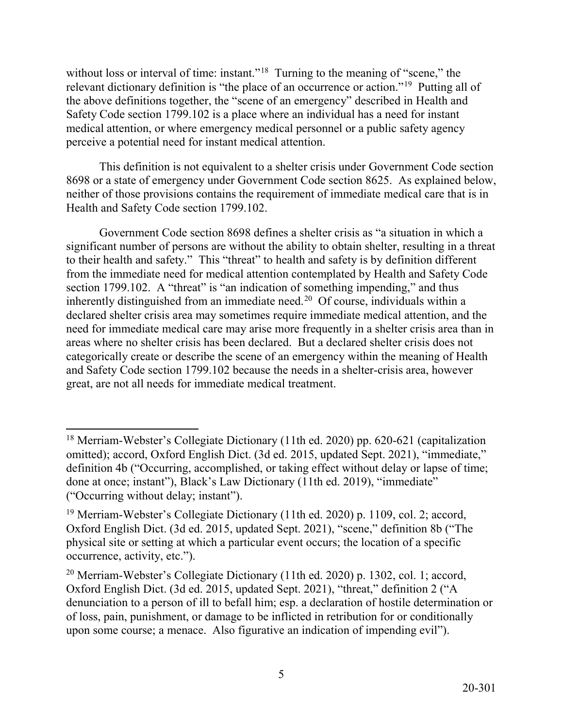without loss or interval of time: instant."<sup>[18](#page-4-0)</sup> Turning to the meaning of "scene," the relevant dictionary definition is "the place of an occurrence or action."<sup>[19](#page-4-1)</sup> Putting all of the above definitions together, the "scene of an emergency" described in Health and Safety Code section 1799.102 is a place where an individual has a need for instant medical attention, or where emergency medical personnel or a public safety agency perceive a potential need for instant medical attention.

 neither of those provisions contains the requirement of immediate medical care that is in This definition is not equivalent to a shelter crisis under Government Code section 8698 or a state of emergency under Government Code section 8625. As explained below, Health and Safety Code section 1799.102.

inherently distinguished from an immediate need.<sup>20</sup> Of course, individuals within a need for immediate medical care may arise more frequently in a shelter crisis area than in Government Code section 8698 defines a shelter crisis as "a situation in which a significant number of persons are without the ability to obtain shelter, resulting in a threat to their health and safety." This "threat" to health and safety is by definition different from the immediate need for medical attention contemplated by Health and Safety Code section 1799.102. A "threat" is "an indication of something impending," and thus declared shelter crisis area may sometimes require immediate medical attention, and the areas where no shelter crisis has been declared. But a declared shelter crisis does not categorically create or describe the scene of an emergency within the meaning of Health and Safety Code section 1799.102 because the needs in a shelter-crisis area, however great, are not all needs for immediate medical treatment.

5

<span id="page-4-0"></span> $\overline{a}$ <sup>18</sup> Merriam-Webster's Collegiate Dictionary (11th ed. 2020) pp. 620-621 (capitalization omitted); accord, Oxford English Dict. (3d ed. 2015, updated Sept. 2021), "immediate," definition 4b ("Occurring, accomplished, or taking effect without delay or lapse of time; done at once; instant"), Black's Law Dictionary (11th ed. 2019), "immediate" ("Occurring without delay; instant").

<span id="page-4-1"></span><sup>19</sup> Merriam-Webster's Collegiate Dictionary (11th ed. 2020) p. 1109, col. 2; accord, Oxford English Dict. (3d ed. 2015, updated Sept. 2021), "scene," definition 8b ("The physical site or setting at which a particular event occurs; the location of a specific occurrence, activity, etc.").

<span id="page-4-2"></span><sup>&</sup>lt;sup>20</sup> Merriam-Webster's Collegiate Dictionary (11th ed. 2020) p. 1302, col. 1; accord, Oxford English Dict. (3d ed. 2015, updated Sept. 2021), "threat," definition 2 ("A denunciation to a person of ill to befall him; esp. a declaration of hostile determination or of loss, pain, punishment, or damage to be inflicted in retribution for or conditionally upon some course; a menace. Also figurative an indication of impending evil").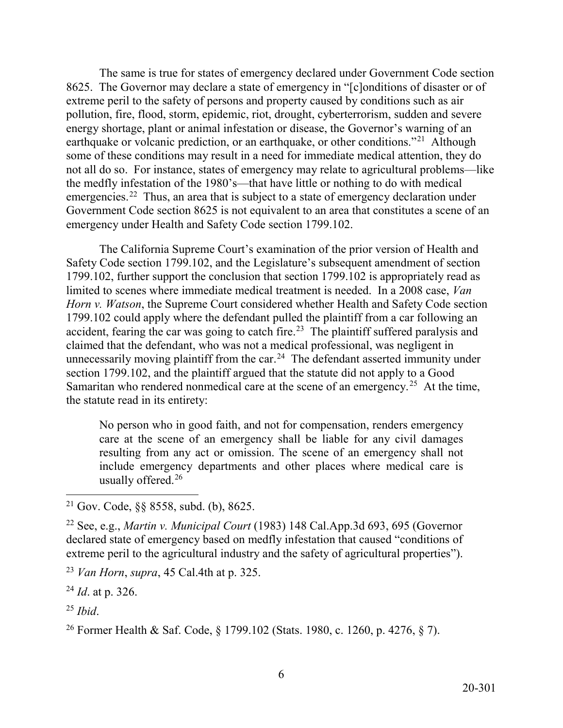earthquake or volcanic prediction, or an earthquake, or other conditions."<sup>[21](#page-5-0)</sup> Although emergencies.<sup>[22](#page-5-1)</sup> Thus, an area that is subject to a state of emergency declaration under The same is true for states of emergency declared under Government Code section 8625. The Governor may declare a state of emergency in "[c]onditions of disaster or of extreme peril to the safety of persons and property caused by conditions such as air pollution, fire, flood, storm, epidemic, riot, drought, cyberterrorism, sudden and severe energy shortage, plant or animal infestation or disease, the Governor's warning of an some of these conditions may result in a need for immediate medical attention, they do not all do so. For instance, states of emergency may relate to agricultural problems—like the medfly infestation of the 1980's—that have little or nothing to do with medical Government Code section 8625 is not equivalent to an area that constitutes a scene of an emergency under Health and Safety Code section 1799.102.

 1799.102 could apply where the defendant pulled the plaintiff from a car following an accident, fearing the car was going to catch fire.<sup>23</sup> The plaintiff suffered paralysis and unnecessarily moving plaintiff from the car.<sup>[24](#page-5-3)</sup> The defendant asserted immunity under Samaritan who rendered nonmedical care at the scene of an emergency.<sup>[25](#page-5-4)</sup> At the time, The California Supreme Court's examination of the prior version of Health and Safety Code section 1799.102, and the Legislature's subsequent amendment of section 1799.102, further support the conclusion that section 1799.102 is appropriately read as limited to scenes where immediate medical treatment is needed. In a 2008 case, *Van Horn v. Watson*, the Supreme Court considered whether Health and Safety Code section claimed that the defendant, who was not a medical professional, was negligent in section 1799.102, and the plaintiff argued that the statute did not apply to a Good the statute read in its entirety:

No person who in good faith, and not for compensation, renders emergency care at the scene of an emergency shall be liable for any civil damages resulting from any act or omission. The scene of an emergency shall not include emergency departments and other places where medical care is usually offered.<sup>26</sup>

<span id="page-5-2"></span><sup>23</sup>*Van Horn*, *supra*, 45 Cal.4th at p. 325.

<span id="page-5-3"></span><sup>24</sup>*Id*. at p. 326.

<span id="page-5-4"></span><sup>25</sup>*Ibid*.

<span id="page-5-0"></span><sup>-</sup><sup>21</sup> Gov. Code,  $\S$ § 8558, subd. (b), 8625.

<span id="page-5-1"></span><sup>22</sup> See, e.g., *Martin v. Municipal Court* (1983) 148 [Cal.App.3d](https://Cal.App.3d) 693, 695 (Governor declared state of emergency based on medfly infestation that caused "conditions of extreme peril to the agricultural industry and the safety of agricultural properties").

<span id="page-5-5"></span><sup>26</sup> Former Health & Saf. Code, § 1799.102 (Stats. 1980, c. 1260, p. 4276, § 7).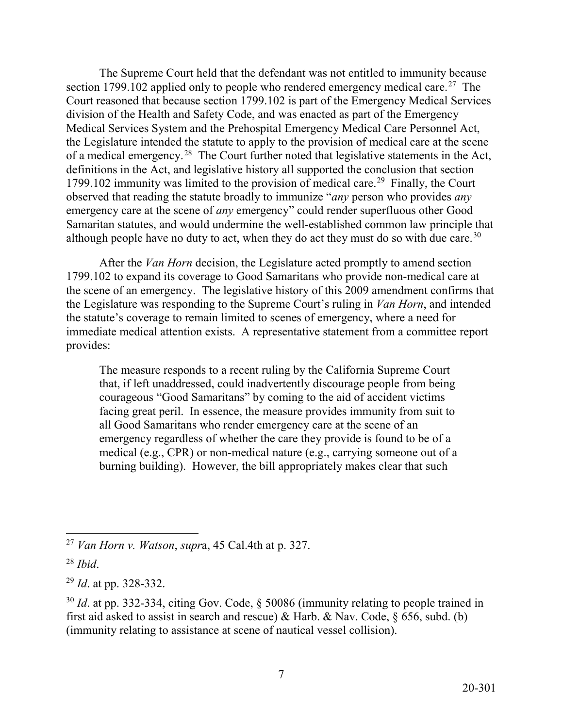section 1799.102 applied only to people who rendered emergency medical care.<sup>[27](#page-6-0)</sup> The of a medical emergency.<sup>[28](#page-6-1)</sup> The Court further noted that legislative statements in the Act, 1799.102 immunity was limited to the provision of medical care.<sup>29</sup> Finally, the Court emergency care at the scene of *any* emergency" could render superfluous other Good although people have no duty to act, when they do act they must do so with due care.<sup>[30](#page-6-3)</sup> The Supreme Court held that the defendant was not entitled to immunity because Court reasoned that because section 1799.102 is part of the Emergency Medical Services division of the Health and Safety Code, and was enacted as part of the Emergency Medical Services System and the Prehospital Emergency Medical Care Personnel Act, the Legislature intended the statute to apply to the provision of medical care at the scene definitions in the Act, and legislative history all supported the conclusion that section observed that reading the statute broadly to immunize "*any* person who provides *any*  Samaritan statutes, and would undermine the well-established common law principle that

After the *Van Horn* decision, the Legislature acted promptly to amend section 1799.102 to expand its coverage to Good Samaritans who provide non-medical care at the scene of an emergency. The legislative history of this 2009 amendment confirms that the Legislature was responding to the Supreme Court's ruling in *Van Horn*, and intended the statute's coverage to remain limited to scenes of emergency, where a need for immediate medical attention exists. A representative statement from a committee report provides:

The measure responds to a recent ruling by the California Supreme Court that, if left unaddressed, could inadvertently discourage people from being courageous "Good Samaritans" by coming to the aid of accident victims facing great peril. In essence, the measure provides immunity from suit to all Good Samaritans who render emergency care at the scene of an emergency regardless of whether the care they provide is found to be of a medical (e.g., CPR) or non-medical nature (e.g., carrying someone out of a burning building). However, the bill appropriately makes clear that such

<span id="page-6-0"></span><sup>-</sup><sup>27</sup>*Van Horn v. Watson*, *supr*a, 45 Cal.4th at p. 327.

<span id="page-6-1"></span> <sup>28</sup>*Ibid*.

<span id="page-6-2"></span><sup>29</sup>*Id*. at pp. 328-332.

<span id="page-6-3"></span> <sup>30</sup>*Id*. at pp. 332-334, citing Gov. Code, § 50086 (immunity relating to people trained in first aid asked to assist in search and rescue) & Harb. & Nav. Code, § 656, subd. (b) (immunity relating to assistance at scene of nautical vessel collision).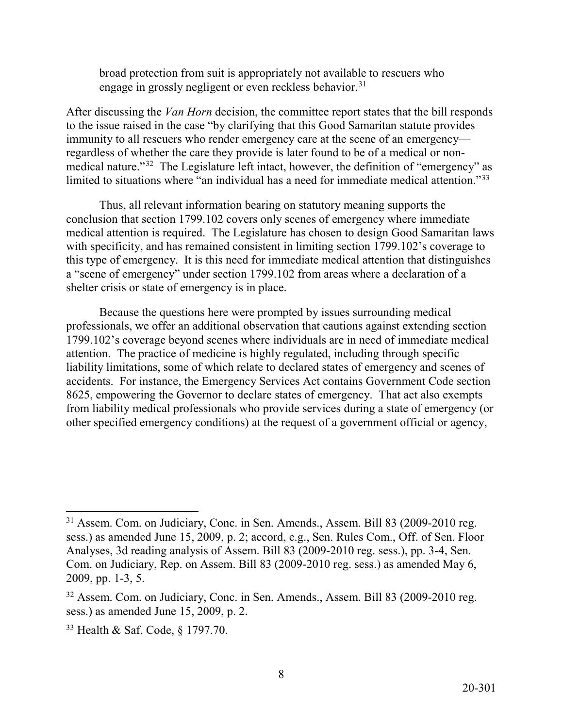broad protection from suit is appropriately not available to rescuers who engage in grossly negligent or even reckless behavior.<sup>31</sup>

medical nature."<sup>[32](#page-7-1)</sup> The Legislature left intact, however, the definition of "emergency" as limited to situations where "an individual has a need for immediate medical attention."<sup>33</sup> After discussing the *Van Horn* decision, the committee report states that the bill responds to the issue raised in the case "by clarifying that this Good Samaritan statute provides immunity to all rescuers who render emergency care at the scene of an emergency regardless of whether the care they provide is later found to be of a medical or non-

Thus, all relevant information bearing on statutory meaning supports the conclusion that section 1799.102 covers only scenes of emergency where immediate medical attention is required. The Legislature has chosen to design Good Samaritan laws with specificity, and has remained consistent in limiting section 1799.102's coverage to this type of emergency. It is this need for immediate medical attention that distinguishes a "scene of emergency" under section 1799.102 from areas where a declaration of a shelter crisis or state of emergency is in place.

 8625, empowering the Governor to declare states of emergency. That act also exempts Because the questions here were prompted by issues surrounding medical professionals, we offer an additional observation that cautions against extending section 1799.102's coverage beyond scenes where individuals are in need of immediate medical attention. The practice of medicine is highly regulated, including through specific liability limitations, some of which relate to declared states of emergency and scenes of accidents. For instance, the Emergency Services Act contains Government Code section from liability medical professionals who provide services during a state of emergency (or other specified emergency conditions) at the request of a government official or agency,

8

<span id="page-7-0"></span> $\overline{a}$ <sup>31</sup> Assem. Com. on Judiciary, Conc. in Sen. Amends., Assem. Bill 83 (2009-2010 reg. sess.) as amended June 15, 2009, p. 2; accord, e.g., Sen. Rules Com., Off. of Sen. Floor Analyses, 3d reading analysis of Assem. Bill 83 (2009-2010 reg. sess.), pp. 3-4, Sen. Com. on Judiciary, Rep. on Assem. Bill 83 (2009-2010 reg. sess.) as amended May 6, 2009, pp. 1-3, 5.

<span id="page-7-1"></span><sup>&</sup>lt;sup>32</sup> Assem. Com. on Judiciary, Conc. in Sen. Amends., Assem. Bill 83 (2009-2010 reg. sess.) as amended June 15, 2009, p. 2.

<span id="page-7-2"></span><sup>33</sup> Health & Saf. Code, § 1797.70.